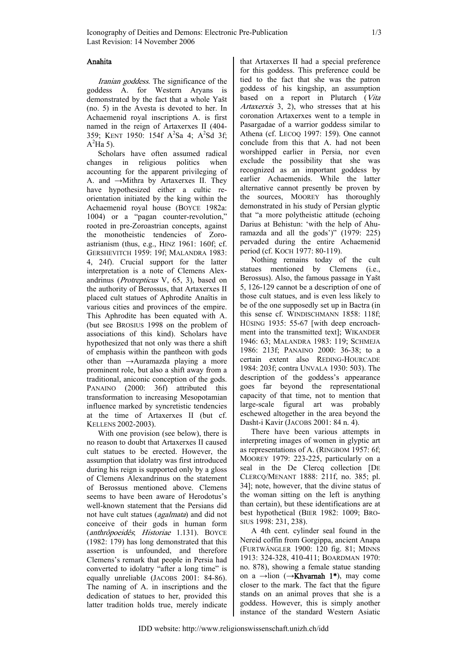## Anahita

Iranian goddess. The significance of the goddess A. for Western Aryans is demonstrated by the fact that a whole Yašt (no. 5) in the Avesta is devoted to her. In Achaemenid royal inscriptions A. is first named in the reign of Artaxerxes II (404- 359; KENT 1950: 154f A<sup>2</sup>Sa 4; A<sup>2</sup>Sd 3f;  $A^2$ Ha 5).

Scholars have often assumed radical changes in religious politics when accounting for the apparent privileging of A. and →Mithra by Artaxerxes II. They have hypothesized either a cultic reorientation initiated by the king within the Achaemenid royal house (BOYCE 1982a: 1004) or a "pagan counter-revolution," rooted in pre-Zoroastrian concepts, against the monotheistic tendencies of Zoroastrianism (thus, e.g., HINZ 1961: 160f; cf. GERSHEVITCH 1959: 19f; MALANDRA 1983: 4, 24f). Crucial support for the latter interpretation is a note of Clemens Alexandrinus (Protrepticus V, 65, 3), based on the authority of Berossus, that Artaxerxes II placed cult statues of Aphrodite Anaïtis in various cities and provinces of the empire. This Aphrodite has been equated with A. (but see BROSIUS 1998 on the problem of associations of this kind). Scholars have hypothesized that not only was there a shift of emphasis within the pantheon with gods other than →Auramazda playing a more prominent role, but also a shift away from a traditional, aniconic conception of the gods. PANAINO (2000: 36f) attributed this transformation to increasing Mesopotamian influence marked by syncretistic tendencies at the time of Artaxerxes II (but cf. KELLENS 2002-2003).

With one provision (see below), there is no reason to doubt that Artaxerxes II caused cult statues to be erected. However, the assumption that idolatry was first introduced during his reign is supported only by a gloss of Clemens Alexandrinus on the statement of Berossus mentioned above. Clemens seems to have been aware of Herodotus's well-known statement that the Persians did not have cult statues (agalmata) and did not conceive of their gods in human form (anthrôpoeidês; Historiae 1.131). BOYCE (1982: 179) has long demonstrated that this assertion is unfounded, and therefore Clemens's remark that people in Persia had converted to idolatry "after a long time" is equally unreliable (JACOBS 2001: 84-86). The naming of A. in inscriptions and the dedication of statues to her, provided this latter tradition holds true, merely indicate

that Artaxerxes II had a special preference for this goddess. This preference could be tied to the fact that she was the patron goddess of his kingship, an assumption based on a report in Plutarch (Vita Artaxerxis 3, 2), who stresses that at his coronation Artaxerxes went to a temple in Pasargadae of a warrior goddess similar to Athena (cf. LECOQ 1997: 159). One cannot conclude from this that A. had not been worshipped earlier in Persia, nor even exclude the possibility that she was recognized as an important goddess by earlier Achaemenids. While the latter alternative cannot presently be proven by the sources, MOOREY has thoroughly demonstrated in his study of Persian glyptic that "a more polytheistic attitude (echoing Darius at Behistun: 'with the help of Ahuramazda and all the gods')" (1979: 225) pervaded during the entire Achaemenid period (cf. KOCH 1977: 80-119).

Nothing remains today of the cult statues mentioned by Clemens (i.e., Berossus). Also, the famous passage in Yašt 5, 126-129 cannot be a description of one of those cult statues, and is even less likely to be of the one supposedly set up in Bactra (in this sense cf. WINDISCHMANN 1858: 118f; HÜSING 1935: 55-67 [with deep encroachment into the transmitted text]; WIKANDER 1946: 63; MALANDRA 1983: 119; SCHMEJA 1986: 213f; PANAINO 2000: 36-38; to a certain extent also REDING-HOURCADE 1984: 203f; contra UNVALA 1930: 503). The description of the goddess's appearance goes far beyond the representational capacity of that time, not to mention that large-scale figural art was probably eschewed altogether in the area beyond the Dasht-i Kavir (JACOBS 2001: 84 n. 4).

There have been various attempts in interpreting images of women in glyptic art as representations of A. (RINGBOM 1957: 6f; MOOREY 1979: 223-225, particularly on a seal in the De Clercq collection [DE CLERCQ/MENANT 1888: 211f, no. 385; pl. 34]; note, however, that the divine status of the woman sitting on the left is anything than certain), but these identifications are at best hypothetical (BIER 1982: 1009; BRO-SIUS 1998: 231, 238).

A 4th cent. cylinder seal found in the Nereid coffin from Gorgippa, ancient Anapa (FURTWÄNGLER 1900: 120 fig. 81; MINNS 1913: 324-328, 410-411; BOARDMAN 1970: no. 878), showing a female statue standing on a  $\rightarrow$ lion ( $\rightarrow$ Khvarnah 1<sup>\*</sup>), may come closer to the mark. The fact that the figure stands on an animal proves that she is a goddess. However, this is simply another instance of the standard Western Asiatic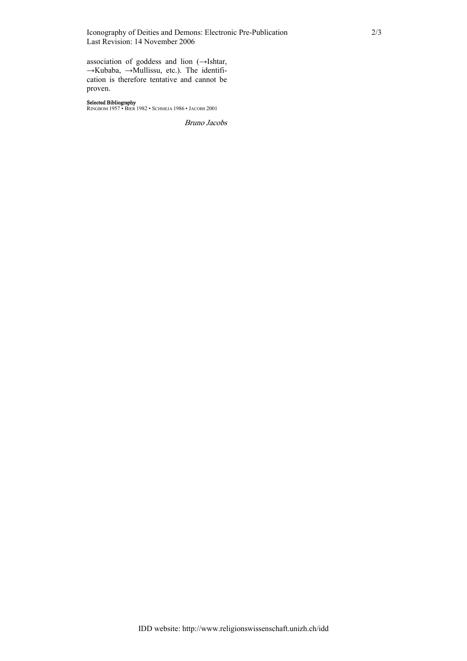## Iconography of Deities and Demons: Electronic Pre-Publication 2/3 Last Revision: 14 November 2006

association of goddess and lion (→Ishtar, →Kubaba, →Mullissu, etc.). The identification is therefore tentative and cannot be proven.

## Selected Bibliography

RINGBOM 1957 • BIER 1982 • SCHMEJA 1986 • JACOBS 2001

Bruno Jacobs